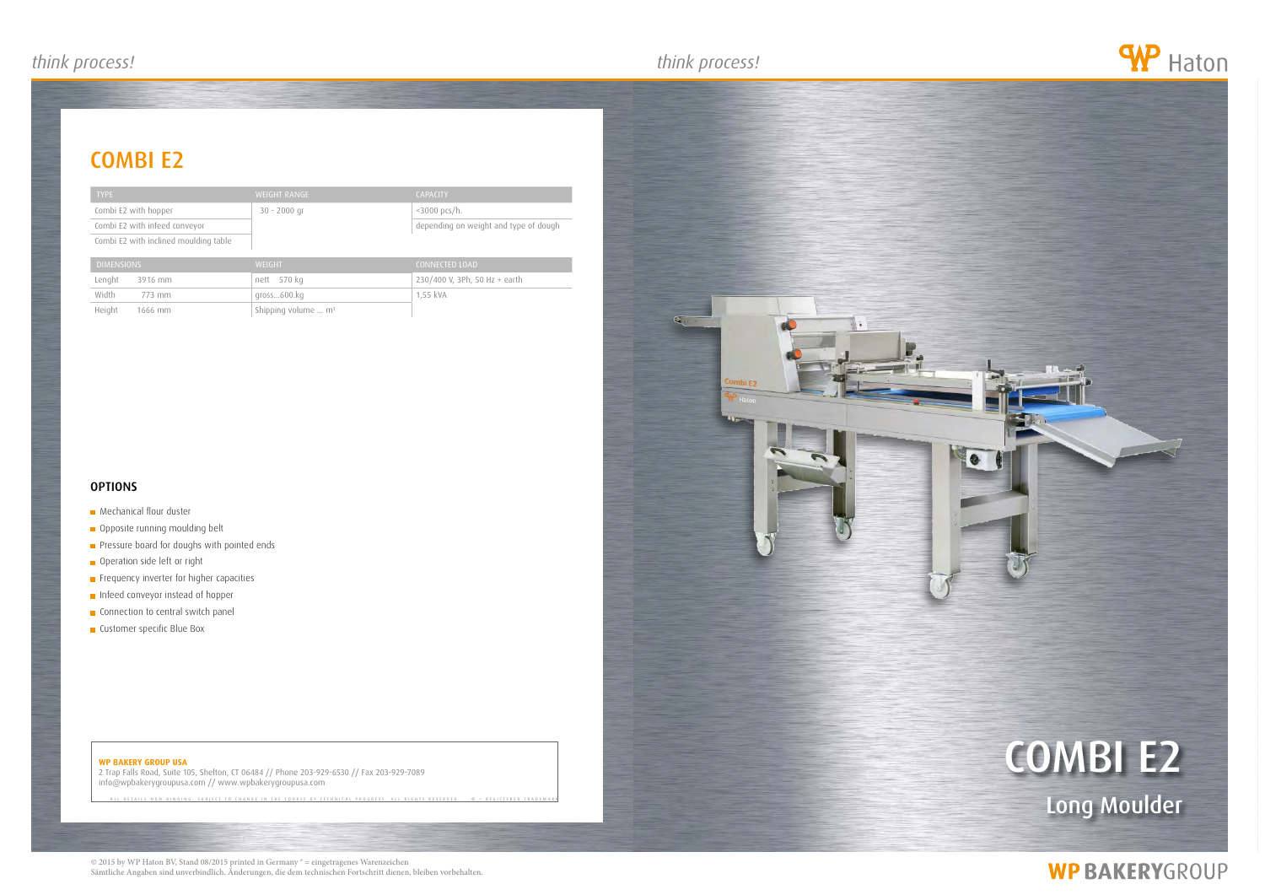## *think process! think process! think process!*

## **WP BAKERY GROUP USA**

2 Trap Falls Road, Suite 105, Shelton, CT 06484 // Phone 203-929-6530 // Fax 203-929-7089 info@wpbakerygroupusa.com // www.wpbakerygroupusa.com

NON-BINDING. SUBJECT TO CHANGE IN THE COURSE OF TECHNICAL PROGRESS





# **WP BAKERYGROUP**

# combi e2

| <b>TYPE</b>                           | <b>WEIGHT RANGE</b> | <b>CAPACITY</b>                       |
|---------------------------------------|---------------------|---------------------------------------|
| Combi E2 with hopper                  | 30 - 2000 gr        | $\langle 3000 \text{ pcs/h.} \rangle$ |
| Combi E2 with infeed conveyor         |                     | depending on weight and type of dough |
| Combi E2 with inclined moulding table |                     |                                       |

| <b>DIMENSIONS</b> | WEIGHT                                  | CONNECTED LOAD                |
|-------------------|-----------------------------------------|-------------------------------|
| Lenght<br>3916 mm | nett 570 kg                             | 230/400 V, 3Ph, 50 Hz + earth |
| Width<br>773 mm   | gross600.kg                             | 1.55 kVA                      |
| Height<br>1666 mm | Shipping volume $\ldots$ m <sup>3</sup> |                               |

## **OPTIONS**

## **Mechanical flour duster**

## Opposite running moulding belt

- **Pressure board for doughs with pointed ends**
- Operation side left or right
- **Frequency inverter for higher capacities**
- **Infeed conveyor instead of hopper**
- **Connection to central switch panel**
- **Customer specific Blue Box**